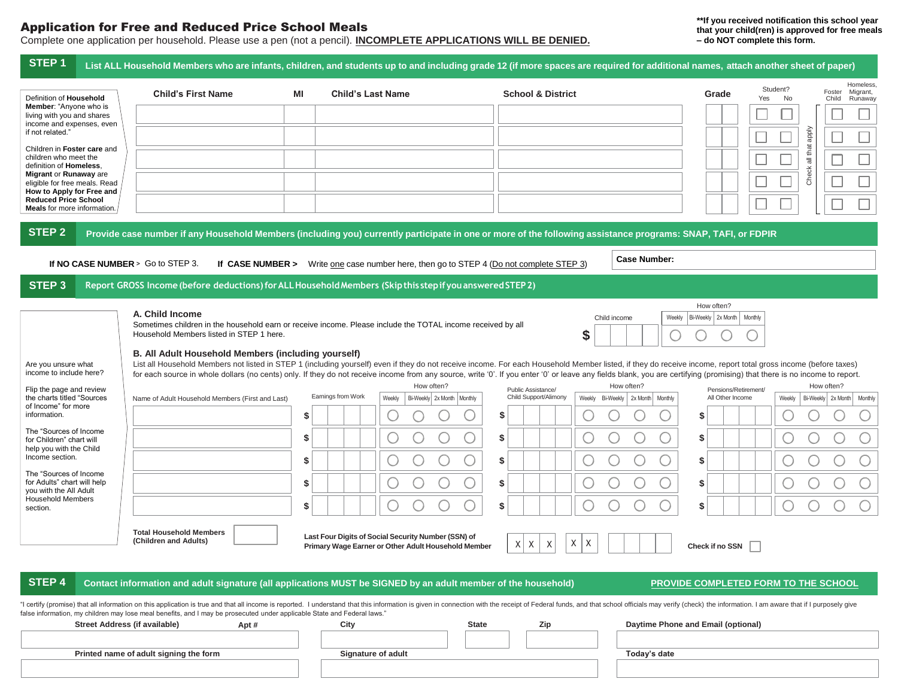### Application for Free and Reduced Price School Meals

# Complete one application per household. Please use a pen (not a pencil). **INCOMPLETE APPLICATIONS WILL BE DENIED.**

**\*\*If you received notification this school year that your child(ren) is approved for free meals – do NOT complete this form.**

| STEP <sub>1</sub>                                                                                                                                                                                                                                                  |                                                                                                                                                              |                    |                                                                        |                                             |                                                 | List ALL Household Members who are infants, children, and students up to and including grade 12 (if more spaces are required for additional names, attach another sheet of paper)                                                                                                                                                                                                                                                           |
|--------------------------------------------------------------------------------------------------------------------------------------------------------------------------------------------------------------------------------------------------------------------|--------------------------------------------------------------------------------------------------------------------------------------------------------------|--------------------|------------------------------------------------------------------------|---------------------------------------------|-------------------------------------------------|---------------------------------------------------------------------------------------------------------------------------------------------------------------------------------------------------------------------------------------------------------------------------------------------------------------------------------------------------------------------------------------------------------------------------------------------|
| Definition of Household                                                                                                                                                                                                                                            | <b>Child's First Name</b>                                                                                                                                    | ΜI                 | <b>Child's Last Name</b>                                               | <b>School &amp; District</b>                |                                                 | Homeless,<br>Student?<br>Migrant,<br>Foster<br>Grade<br>Yes<br>No<br>Runaway<br>Child                                                                                                                                                                                                                                                                                                                                                       |
| Member: "Anyone who is<br>living with you and shares<br>income and expenses, even                                                                                                                                                                                  |                                                                                                                                                              |                    |                                                                        |                                             |                                                 |                                                                                                                                                                                                                                                                                                                                                                                                                                             |
| if not related."                                                                                                                                                                                                                                                   |                                                                                                                                                              |                    |                                                                        |                                             |                                                 |                                                                                                                                                                                                                                                                                                                                                                                                                                             |
| Children in Foster care and<br>children who meet the<br>definition of Homeless,                                                                                                                                                                                    |                                                                                                                                                              |                    |                                                                        |                                             |                                                 | all that apply                                                                                                                                                                                                                                                                                                                                                                                                                              |
| Migrant or Runaway are<br>eligible for free meals. Read                                                                                                                                                                                                            |                                                                                                                                                              |                    |                                                                        |                                             |                                                 | Check                                                                                                                                                                                                                                                                                                                                                                                                                                       |
| How to Apply for Free and<br><b>Reduced Price School</b><br>Meals for more information.                                                                                                                                                                            |                                                                                                                                                              |                    |                                                                        |                                             |                                                 |                                                                                                                                                                                                                                                                                                                                                                                                                                             |
| <b>STEP 2</b>                                                                                                                                                                                                                                                      | Provide case number if any Household Members (including you) currently participate in one or more of the following assistance programs: SNAP, TAFI, or FDPIR |                    |                                                                        |                                             |                                                 |                                                                                                                                                                                                                                                                                                                                                                                                                                             |
|                                                                                                                                                                                                                                                                    |                                                                                                                                                              |                    |                                                                        |                                             | <b>Case Number:</b>                             |                                                                                                                                                                                                                                                                                                                                                                                                                                             |
|                                                                                                                                                                                                                                                                    | If NO CASE NUMBER > Go to STEP 3.<br>If CASE NUMBER >                                                                                                        |                    | Write one case number here, then go to STEP 4 (Do not complete STEP 3) |                                             |                                                 |                                                                                                                                                                                                                                                                                                                                                                                                                                             |
| STEP <sub>3</sub>                                                                                                                                                                                                                                                  | Report GROSS Income (before deductions) for ALL Household Members (Skip this step if you answered STEP 2)                                                    |                    |                                                                        |                                             |                                                 | How often?                                                                                                                                                                                                                                                                                                                                                                                                                                  |
|                                                                                                                                                                                                                                                                    | A. Child Income<br>Sometimes children in the household earn or receive income. Please include the TOTAL income received by all                               |                    |                                                                        |                                             | Weekly<br>Child income                          | Bi-Weekly 2x Month   Monthly                                                                                                                                                                                                                                                                                                                                                                                                                |
|                                                                                                                                                                                                                                                                    | Household Members listed in STEP 1 here.                                                                                                                     |                    |                                                                        |                                             | \$                                              |                                                                                                                                                                                                                                                                                                                                                                                                                                             |
| Are you unsure what<br>income to include here?                                                                                                                                                                                                                     | B. All Adult Household Members (including yourself)                                                                                                          |                    |                                                                        |                                             |                                                 | List all Household Members not listed in STEP 1 (including yourself) even if they do not receive income. For each Household Member listed, if they do receive income, report total gross income (before taxes)<br>for each source in whole dollars (no cents) only. If they do not receive income from any source, write '0'. If you enter '0' or leave any fields blank, you are certifying (promising) that there is no income to report. |
| Flip the page and review<br>the charts titled "Sources                                                                                                                                                                                                             | Name of Adult Household Members (First and Last)                                                                                                             | Earnings from Work | How often?<br>Weekly<br>Bi-Weekly 2x Month Monthly                     | Public Assistance/<br>Child Support/Alimony | How often?<br>Weekly Bi-Weekly 2x Month Monthly | How often?<br>Pensions/Retirement/<br>All Other Income<br>Bi-Weekly 2x Month Monthly<br>Weekly                                                                                                                                                                                                                                                                                                                                              |
| of Income" for more<br>information.<br>The "Sources of Income<br>for Children" chart will<br>help you with the Child<br>Income section.<br>The "Sources of Income<br>for Adults" chart will help<br>you with the All Adult<br><b>Household Members</b><br>section. |                                                                                                                                                              | \$                 |                                                                        | \$                                          |                                                 | S                                                                                                                                                                                                                                                                                                                                                                                                                                           |
|                                                                                                                                                                                                                                                                    |                                                                                                                                                              | \$                 | U                                                                      | \$                                          |                                                 | \$                                                                                                                                                                                                                                                                                                                                                                                                                                          |
|                                                                                                                                                                                                                                                                    |                                                                                                                                                              | \$                 |                                                                        | \$                                          |                                                 | \$                                                                                                                                                                                                                                                                                                                                                                                                                                          |
|                                                                                                                                                                                                                                                                    |                                                                                                                                                              | S                  |                                                                        | \$                                          |                                                 | \$                                                                                                                                                                                                                                                                                                                                                                                                                                          |
|                                                                                                                                                                                                                                                                    |                                                                                                                                                              | \$                 |                                                                        | \$                                          |                                                 | \$                                                                                                                                                                                                                                                                                                                                                                                                                                          |
|                                                                                                                                                                                                                                                                    | <b>Total Household Members</b>                                                                                                                               |                    | Last Four Digits of Social Security Number (SSN) of                    |                                             |                                                 |                                                                                                                                                                                                                                                                                                                                                                                                                                             |
|                                                                                                                                                                                                                                                                    | (Children and Adults)                                                                                                                                        |                    | Primary Wage Earner or Other Adult Household Member                    | $\times$<br>$\times$<br>Χ                   | Χ<br>Χ                                          | Check if no SSN                                                                                                                                                                                                                                                                                                                                                                                                                             |
| STEP 4                                                                                                                                                                                                                                                             | Contact information and adult signature (all applications MUST be SIGNED by an adult member of the household)                                                |                    |                                                                        |                                             |                                                 | PROVIDE COMPLETED FORM TO THE SCHOOL                                                                                                                                                                                                                                                                                                                                                                                                        |
|                                                                                                                                                                                                                                                                    | false information, my children may lose meal benefits, and I may be prosecuted under applicable State and Federal laws."                                     |                    |                                                                        |                                             |                                                 | "I certify (promise) that all information on this application is true and that all income is reported. I understand that this information is given in connection with the receipt of Federal funds, and that school officials                                                                                                                                                                                                               |
|                                                                                                                                                                                                                                                                    | Street Address (if available)<br>Apt #                                                                                                                       | City               | <b>State</b>                                                           | Zip                                         |                                                 | Daytime Phone and Email (optional)                                                                                                                                                                                                                                                                                                                                                                                                          |
|                                                                                                                                                                                                                                                                    | Printed name of adult signing the form                                                                                                                       |                    | <b>Signature of adult</b>                                              |                                             | Today's date                                    |                                                                                                                                                                                                                                                                                                                                                                                                                                             |